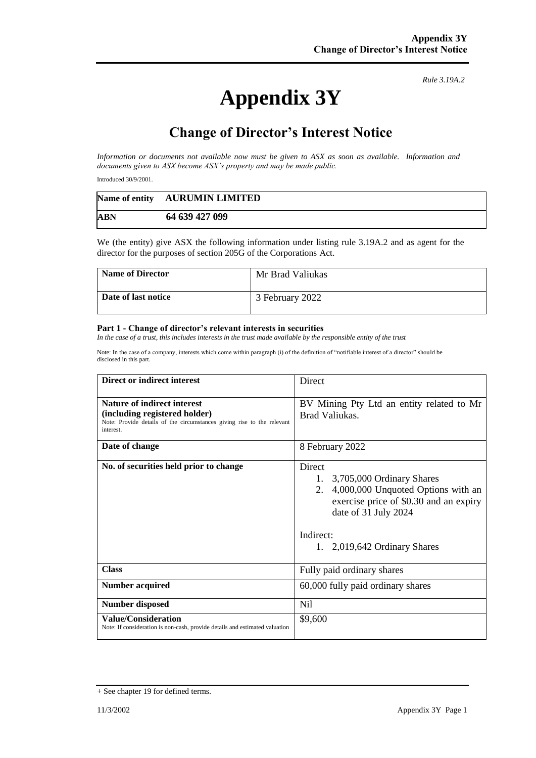## **Appendix 3Y**

*Rule 3.19A.2*

## **Change of Director's Interest Notice**

*Information or documents not available now must be given to ASX as soon as available. Information and documents given to ASX become ASX's property and may be made public.*

Introduced 30/9/2001.

|            | Name of entity AURUMIN LIMITED |
|------------|--------------------------------|
| <b>ABN</b> | 64 639 427 099                 |

We (the entity) give ASX the following information under listing rule 3.19A.2 and as agent for the director for the purposes of section 205G of the Corporations Act.

| <b>Name of Director</b> | Mr Brad Valiukas |
|-------------------------|------------------|
| Date of last notice     | 3 February 2022  |

## **Part 1 - Change of director's relevant interests in securities**

*In the case of a trust, this includes interests in the trust made available by the responsible entity of the trust*

Note: In the case of a company, interests which come within paragraph (i) of the definition of "notifiable interest of a director" should be disclosed in this part.

| Direct or indirect interest                                                                                                                         | Direct                                                                                                                                                                                                 |
|-----------------------------------------------------------------------------------------------------------------------------------------------------|--------------------------------------------------------------------------------------------------------------------------------------------------------------------------------------------------------|
| Nature of indirect interest<br>(including registered holder)<br>Note: Provide details of the circumstances giving rise to the relevant<br>interest. | BV Mining Pty Ltd an entity related to Mr<br>Brad Valiukas.                                                                                                                                            |
| Date of change                                                                                                                                      | 8 February 2022                                                                                                                                                                                        |
| No. of securities held prior to change                                                                                                              | Direct<br>1.<br>3,705,000 Ordinary Shares<br>4,000,000 Unquoted Options with an<br>2.<br>exercise price of \$0.30 and an expiry<br>date of 31 July 2024<br>Indirect:<br>1. $2,019,642$ Ordinary Shares |
| <b>Class</b>                                                                                                                                        | Fully paid ordinary shares                                                                                                                                                                             |
| <b>Number acquired</b>                                                                                                                              | 60,000 fully paid ordinary shares                                                                                                                                                                      |
| <b>Number disposed</b>                                                                                                                              | Nil                                                                                                                                                                                                    |
| <b>Value/Consideration</b><br>Note: If consideration is non-cash, provide details and estimated valuation                                           | \$9,600                                                                                                                                                                                                |

<sup>+</sup> See chapter 19 for defined terms.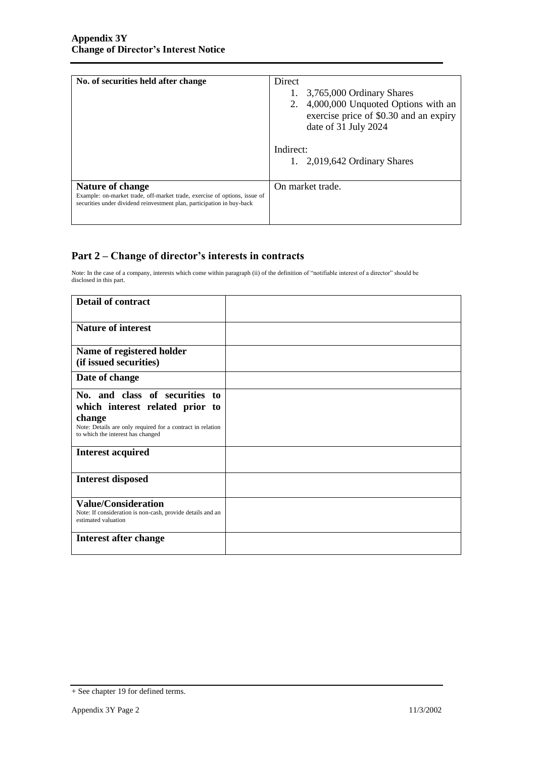| No. of securities held after change                                                                                                                                     | Direct<br>3,765,000 Ordinary Shares<br>2. 4,000,000 Unquoted Options with an<br>exercise price of \$0.30 and an expiry<br>date of 31 July 2024<br>Indirect:<br>1. $2,019,642$ Ordinary Shares |
|-------------------------------------------------------------------------------------------------------------------------------------------------------------------------|-----------------------------------------------------------------------------------------------------------------------------------------------------------------------------------------------|
| Nature of change<br>Example: on-market trade, off-market trade, exercise of options, issue of<br>securities under dividend reinvestment plan, participation in buy-back | On market trade.                                                                                                                                                                              |

## **Part 2 – Change of director's interests in contracts**

Note: In the case of a company, interests which come within paragraph (ii) of the definition of "notifiable interest of a director" should be disclosed in this part.

| <b>Detail of contract</b>                                                                       |  |
|-------------------------------------------------------------------------------------------------|--|
| <b>Nature of interest</b>                                                                       |  |
| Name of registered holder                                                                       |  |
| (if issued securities)                                                                          |  |
| Date of change                                                                                  |  |
| No. and class of securities to                                                                  |  |
| which interest related prior to                                                                 |  |
| change                                                                                          |  |
| Note: Details are only required for a contract in relation<br>to which the interest has changed |  |
| <b>Interest acquired</b>                                                                        |  |
| <b>Interest disposed</b>                                                                        |  |
| <b>Value/Consideration</b>                                                                      |  |
| Note: If consideration is non-cash, provide details and an<br>estimated valuation               |  |
| Interest after change                                                                           |  |
|                                                                                                 |  |

<sup>+</sup> See chapter 19 for defined terms.